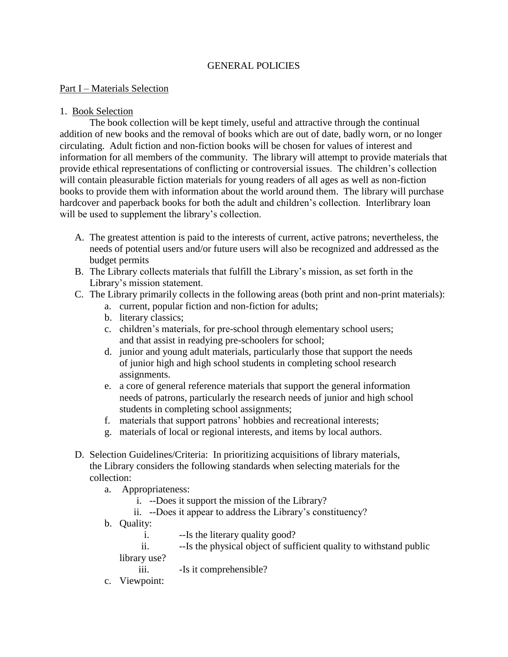## GENERAL POLICIES

#### Part I – Materials Selection

#### 1. Book Selection

The book collection will be kept timely, useful and attractive through the continual addition of new books and the removal of books which are out of date, badly worn, or no longer circulating. Adult fiction and non-fiction books will be chosen for values of interest and information for all members of the community. The library will attempt to provide materials that provide ethical representations of conflicting or controversial issues. The children's collection will contain pleasurable fiction materials for young readers of all ages as well as non-fiction books to provide them with information about the world around them. The library will purchase hardcover and paperback books for both the adult and children's collection. Interlibrary loan will be used to supplement the library's collection.

- A. The greatest attention is paid to the interests of current, active patrons; nevertheless, the needs of potential users and/or future users will also be recognized and addressed as the budget permits
- B. The Library collects materials that fulfill the Library's mission, as set forth in the Library's mission statement.
- C. The Library primarily collects in the following areas (both print and non-print materials):
	- a. current, popular fiction and non-fiction for adults;
	- b. literary classics;
	- c. children's materials, for pre-school through elementary school users; and that assist in readying pre-schoolers for school;
	- d. junior and young adult materials, particularly those that support the needs of junior high and high school students in completing school research assignments.
	- e. a core of general reference materials that support the general information needs of patrons, particularly the research needs of junior and high school students in completing school assignments;
	- f. materials that support patrons' hobbies and recreational interests;
	- g. materials of local or regional interests, and items by local authors.
- D. Selection Guidelines/Criteria: In prioritizing acquisitions of library materials, the Library considers the following standards when selecting materials for the collection:
	- a. Appropriateness:
		- i. --Does it support the mission of the Library?
		- ii. --Does it appear to address the Library's constituency?
	- b. Quality:
		- i. --Is the literary quality good?
		- ii. --Is the physical object of sufficient quality to withstand public library use?

iii. -Is it comprehensible?

c. Viewpoint: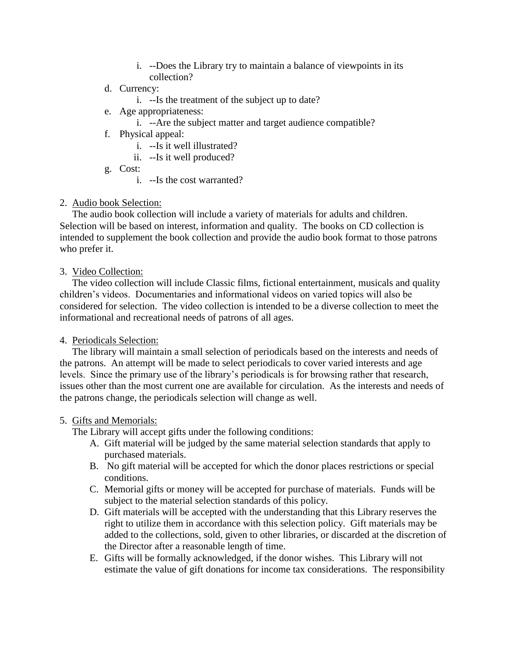- i. --Does the Library try to maintain a balance of viewpoints in its collection?
- d. Currency:
	- i. --Is the treatment of the subject up to date?
- e. Age appropriateness:
	- i. --Are the subject matter and target audience compatible?
- f. Physical appeal:
	- i. --Is it well illustrated?
	- ii. --Is it well produced?
- g. Cost:
	- i. --Is the cost warranted?
- 2. Audio book Selection:

 The audio book collection will include a variety of materials for adults and children. Selection will be based on interest, information and quality. The books on CD collection is intended to supplement the book collection and provide the audio book format to those patrons who prefer it.

### 3. Video Collection:

 The video collection will include Classic films, fictional entertainment, musicals and quality children's videos. Documentaries and informational videos on varied topics will also be considered for selection. The video collection is intended to be a diverse collection to meet the informational and recreational needs of patrons of all ages.

### 4. Periodicals Selection:

 The library will maintain a small selection of periodicals based on the interests and needs of the patrons. An attempt will be made to select periodicals to cover varied interests and age levels. Since the primary use of the library's periodicals is for browsing rather that research, issues other than the most current one are available for circulation. As the interests and needs of the patrons change, the periodicals selection will change as well.

### 5. Gifts and Memorials:

The Library will accept gifts under the following conditions:

- A. Gift material will be judged by the same material selection standards that apply to purchased materials.
- B. No gift material will be accepted for which the donor places restrictions or special conditions.
- C. Memorial gifts or money will be accepted for purchase of materials. Funds will be subject to the material selection standards of this policy.
- D. Gift materials will be accepted with the understanding that this Library reserves the right to utilize them in accordance with this selection policy. Gift materials may be added to the collections, sold, given to other libraries, or discarded at the discretion of the Director after a reasonable length of time.
- E. Gifts will be formally acknowledged, if the donor wishes. This Library will not estimate the value of gift donations for income tax considerations. The responsibility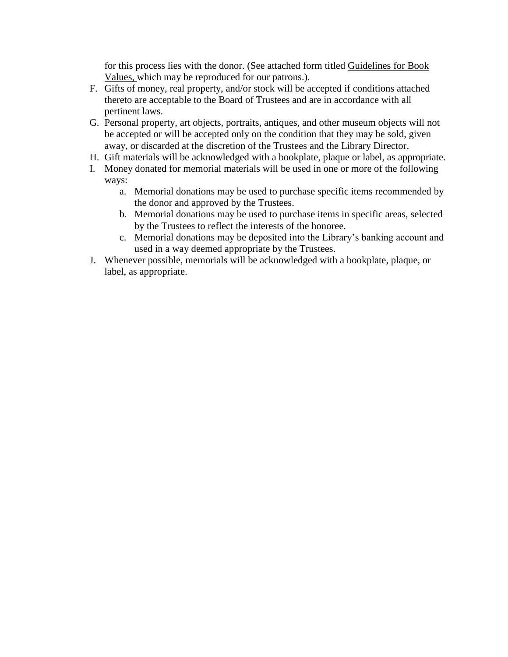for this process lies with the donor. (See attached form titled Guidelines for Book Values, which may be reproduced for our patrons.).

- F. Gifts of money, real property, and/or stock will be accepted if conditions attached thereto are acceptable to the Board of Trustees and are in accordance with all pertinent laws.
- G. Personal property, art objects, portraits, antiques, and other museum objects will not be accepted or will be accepted only on the condition that they may be sold, given away, or discarded at the discretion of the Trustees and the Library Director.
- H. Gift materials will be acknowledged with a bookplate, plaque or label, as appropriate.
- I. Money donated for memorial materials will be used in one or more of the following ways:
	- a. Memorial donations may be used to purchase specific items recommended by the donor and approved by the Trustees.
	- b. Memorial donations may be used to purchase items in specific areas, selected by the Trustees to reflect the interests of the honoree.
	- c. Memorial donations may be deposited into the Library's banking account and used in a way deemed appropriate by the Trustees.
- J. Whenever possible, memorials will be acknowledged with a bookplate, plaque, or label, as appropriate.